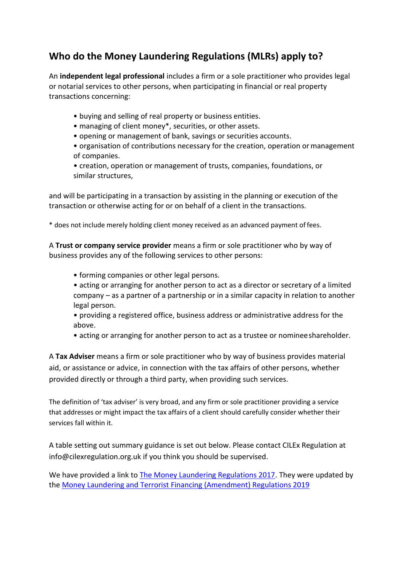## **Who do the Money Laundering Regulations (MLRs) apply to?**

An **independent legal professional** includes a firm or a sole practitioner who provides legal or notarial services to other persons, when participating in financial or real property transactions concerning:

- buying and selling of real property or business entities.
- managing of client money\*, securities, or other assets.
- opening or management of bank, savings or securities accounts.

• organisation of contributions necessary for the creation, operation ormanagement of companies.

• creation, operation or management of trusts, companies, foundations, or similar structures,

and will be participating in a transaction by assisting in the planning or execution of the transaction or otherwise acting for or on behalf of a client in the transactions.

\* does not include merely holding client money received as an advanced payment of fees.

A **Trust or company service provider** means a firm or sole practitioner who by way of business provides any of the following services to other persons:

- forming companies or other legal persons.
- acting or arranging for another person to act as a director or secretary of a limited company – as a partner of a partnership or in a similar capacity in relation to another legal person.

• providing a registered office, business address or administrative address for the above.

• acting or arranging for another person to act as a trustee or nomineeshareholder.

A **Tax Adviser** means a firm or sole practitioner who by way of business provides material aid, or assistance or advice, in connection with the tax affairs of other persons, whether provided directly or through a third party, when providing such services.

The definition of 'tax adviser' is very broad, and any firm or sole practitioner providing a service that addresses or might impact the tax affairs of a client should carefully consider whether their services fall within it.

A table setting out summary guidance is set out below. Please contact CILEx Regulation at [info@cilexregulation.org.uk i](mailto:info@cilexregulation.org.uk)f you think you should be supervised.

We have provided a link to [The Money Laundering Regulations 2017.](http://www.legislation.gov.uk/uksi/2017/692/made) They were updated by the [Money Laundering and Terrorist Financing \(Amendment\) Regulations 2019](https://eur02.safelinks.protection.outlook.com/?url=http%3A%2F%2Fwww.legislation.gov.uk%2Fuksi%2F2019%2F1511%2Fmade%2Fdata.pdf&data=02%7C01%7Ccat.farrow%40cilexregulation.org.uk%7C100c1226c1cd4086510108d795d21f70%7C9096e35ab9874b109fed671978bc83e8%7C1%7C0%7C637142602014771161&sdata=aPxUUp6sYIihUh7xz7u3czSXbzlHBRmoJDS4S1zN1JU%3D&reserved=0)